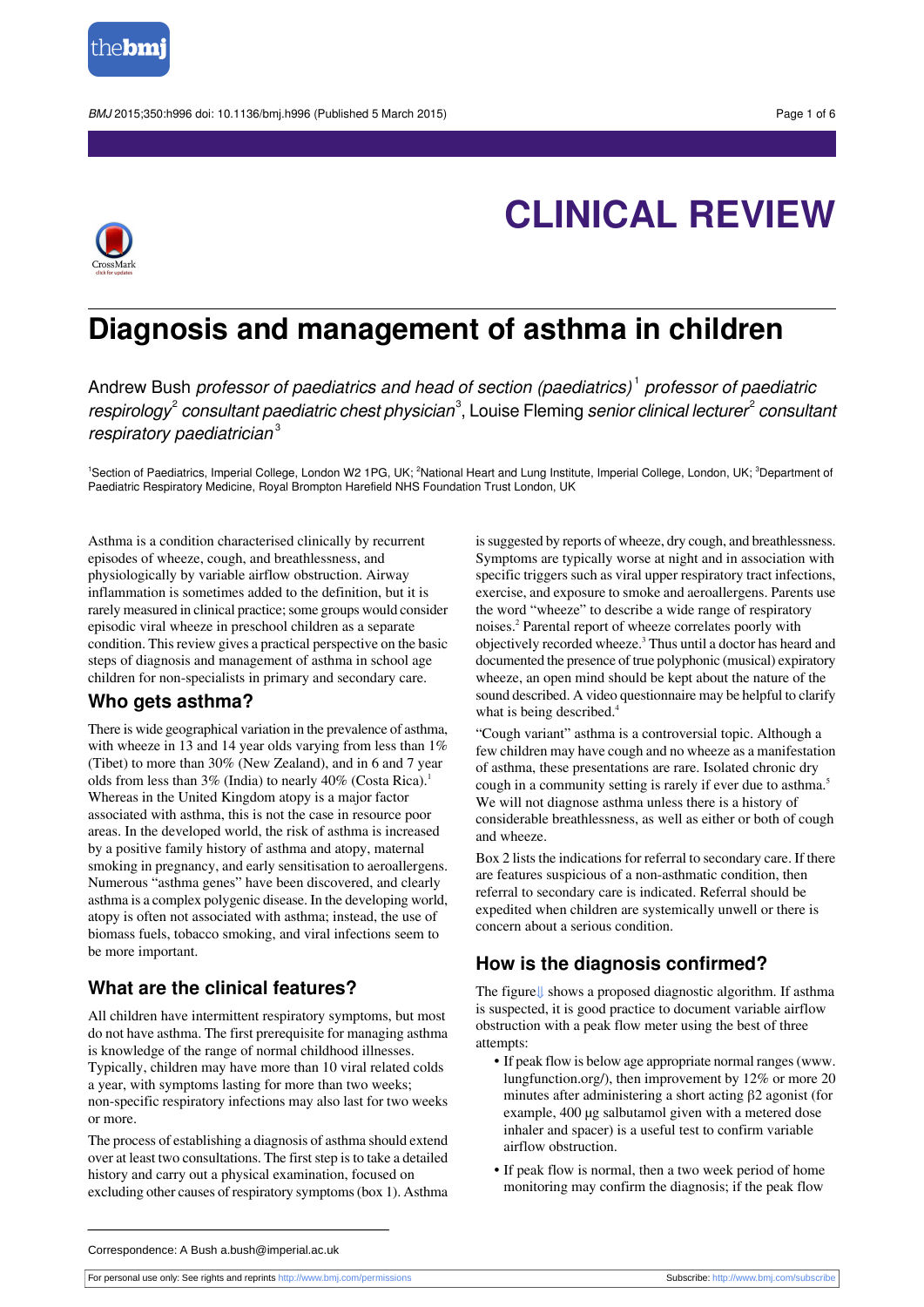



## **Diagnosis and management of asthma in children**

Andrew Bush *professor of paediatrics and head of section (paediatrics)<sup>1</sup> professor of paediatric* respirology $^{\scriptscriptstyle 2}$  consultant paediatric chest physician $^{\scriptscriptstyle 3}$ , Louise Fleming senior clinical lecturer $^{\scriptscriptstyle 2}$  consultani respiratory paediatrician $3$ 

<sup>1</sup>Section of Paediatrics, Imperial College, London W2 1PG, UK; <sup>2</sup>National Heart and Lung Institute, Imperial College, London, UK; <sup>3</sup>Department of Paediatric Respiratory Medicine, Royal Brompton Harefield NHS Foundation Trust London, UK

Asthma is a condition characterised clinically by recurrent episodes of wheeze, cough, and breathlessness, and physiologically by variable airflow obstruction. Airway inflammation is sometimes added to the definition, but it is rarely measured in clinical practice; some groups would consider episodic viral wheeze in preschool children as a separate condition. This review gives a practical perspective on the basic steps of diagnosis and management of asthma in school age children for non-specialists in primary and secondary care.

## **Who gets asthma?**

There is wide geographical variation in the prevalence of asthma, with wheeze in 13 and 14 year olds varying from less than 1% (Tibet) to more than 30% (New Zealand), and in 6 and 7 year olds from less than  $3\%$  (India) to nearly  $40\%$  (Costa Rica).<sup>1</sup> Whereas in the United Kingdom atopy is a major factor associated with asthma, this is not the case in resource poor areas. In the developed world, the risk of asthma is increased by a positive family history of asthma and atopy, maternal smoking in pregnancy, and early sensitisation to aeroallergens. Numerous "asthma genes" have been discovered, and clearly asthma is a complex polygenic disease. In the developing world, atopy is often not associated with asthma; instead, the use of biomass fuels, tobacco smoking, and viral infections seem to be more important.

## **What are the clinical features?**

All children have intermittent respiratory symptoms, but most do not have asthma. The first prerequisite for managing asthma is knowledge of the range of normal childhood illnesses. Typically, children may have more than 10 viral related colds a year, with symptoms lasting for more than two weeks; non-specific respiratory infections may also last for two weeks or more.

The process of establishing a diagnosis of asthma should extend over at least two consultations. The first step is to take a detailed history and carry out a physical examination, focused on excluding other causes of respiratory symptoms(box 1). Asthma

is suggested by reports of wheeze, dry cough, and breathlessness. Symptoms are typically worse at night and in association with specific triggers such as viral upper respiratory tract infections, exercise, and exposure to smoke and aeroallergens. Parents use the word "wheeze" to describe a wide range of respiratory noises.<sup>2</sup> Parental report of wheeze correlates poorly with objectively recorded wheeze.<sup>3</sup> Thus until a doctor has heard and documented the presence of true polyphonic (musical) expiratory wheeze, an open mind should be kept about the nature of the sound described. A video questionnaire may be helpful to clarify what is being described.<sup>4</sup>

"Cough variant" asthma is a controversial topic. Although a few children may have cough and no wheeze as a manifestation of asthma, these presentations are rare. Isolated chronic dry cough in a community setting is rarely if ever due to asthma.<sup>5</sup> We will not diagnose asthma unless there is a history of considerable breathlessness, as well as either or both of cough and wheeze.

Box 2 lists the indications for referral to secondary care. If there are features suspicious of a non-asthmatic condition, then referral to secondary care is indicated. Referral should be expedited when children are systemically unwell or there is concern about a serious condition.

## **How is the diagnosis confirmed?**

The figure[⇓](#page-5-0) shows a proposed diagnostic algorithm. If asthma is suspected, it is good practice to document variable airflow obstruction with a peak flow meter using the best of three attempts:

- **•** If peak flow is below age appropriate normal ranges[\(www.](http://www.lungfunction.org/) [lungfunction.org/\)](http://www.lungfunction.org/), then improvement by 12% or more 20 minutes after administering a short acting β2 agonist (for example, 400 µg salbutamol given with a metered dose inhaler and spacer) is a useful test to confirm variable airflow obstruction.
- **•** If peak flow is normal, then a two week period of home monitoring may confirm the diagnosis; if the peak flow

For personal use only: See rights and reprints<http://www.bmj.com/permissions> Subscribe: <http://www.bmj.com/subscribe>

Correspondence: A Bush a.bush@imperial.ac.uk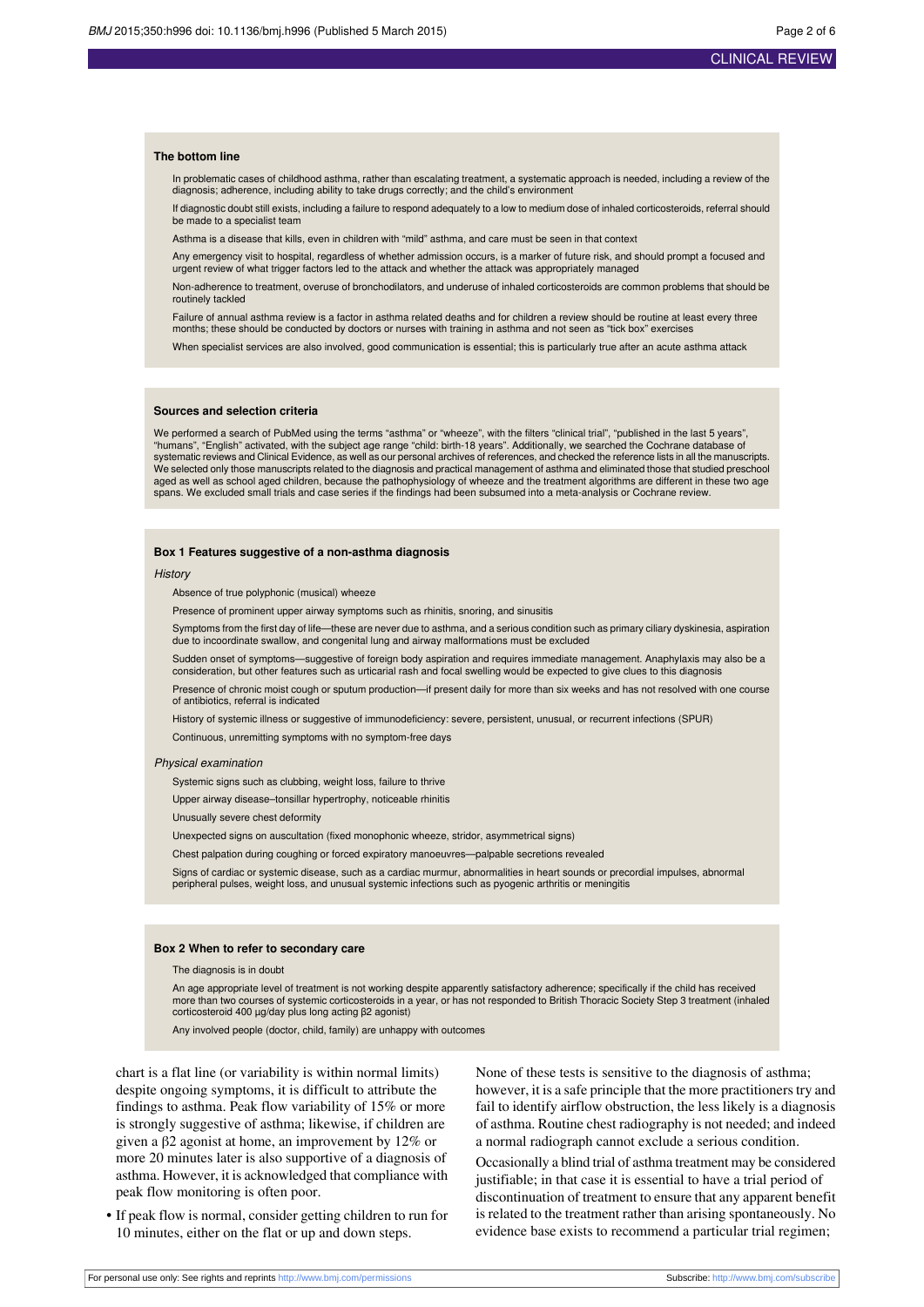#### **The bottom line**

In problematic cases of childhood asthma, rather than escalating treatment, a systematic approach is needed, including a review of the diagnosis; adherence, including ability to take drugs correctly; and the child's environment

If diagnostic doubt still exists, including a failure to respond adequately to a low to medium dose of inhaled corticosteroids, referral should be made to a specialist team

Asthma is a disease that kills, even in children with "mild" asthma, and care must be seen in that context

Any emergency visit to hospital, regardless of whether admission occurs, is a marker of future risk, and should prompt a focused and urgent review of what trigger factors led to the attack and whether the attack was appropriately managed

Non-adherence to treatment, overuse of bronchodilators, and underuse of inhaled corticosteroids are common problems that should be routinely tackled

Failure of annual asthma review is a factor in asthma related deaths and for children a review should be routine at least every three months; these should be conducted by doctors or nurses with training in asthma and not seen as "tick box" exercises

When specialist services are also involved, good communication is essential; this is particularly true after an acute asthma attack

#### **Sources and selection criteria**

We performed a search of PubMed using the terms "asthma" or "wheeze", with the filters "clinical trial", "published in the last 5 years", "humans", "English" activated, with the subject age range "child: birth-18 years". Additionally, we searched the Cochrane database of systematic reviews and Clinical Evidence, as well as our personal archives of references, and checked the reference lists in all the manuscripts. We selected only those manuscripts related to the diagnosis and practical management of asthma and eliminated those that studied preschool aged as well as school aged children, because the pathophysiology of wheeze and the treatment algorithms are different in these two age spans. We excluded small trials and case series if the findings had been subsumed into a meta-analysis or Cochrane review.

#### **Box 1 Features suggestive of a non-asthma diagnosis**

**History** 

Absence of true polyphonic (musical) wheeze

Presence of prominent upper airway symptoms such as rhinitis, snoring, and sinusitis

Symptoms from the first day of life—these are never due to asthma, and a serious condition such as primary ciliary dyskinesia, aspiration due to incoordinate swallow, and congenital lung and airway malformations must be excluded

Sudden onset of symptoms—suggestive of foreign body aspiration and requires immediate management. Anaphylaxis may also be a consideration, but other features such as urticarial rash and focal swelling would be expected to give clues to this diagnosis

Presence of chronic moist cough or sputum production—if present daily for more than six weeks and has not resolved with one course of antibiotics, referral is indicated

History of systemic illness or suggestive of immunodeficiency: severe, persistent, unusual, or recurrent infections (SPUR)

Continuous, unremitting symptoms with no symptom-free days

#### Physical examination

Systemic signs such as clubbing, weight loss, failure to thrive

Upper airway disease–tonsillar hypertrophy, noticeable rhinitis

Unusually severe chest deformity

Unexpected signs on auscultation (fixed monophonic wheeze, stridor, asymmetrical signs)

Chest palpation during coughing or forced expiratory manoeuvres—palpable secretions revealed

Signs of cardiac or systemic disease, such as a cardiac murmur, abnormalities in heart sounds or precordial impulses, abnormal peripheral pulses, weight loss, and unusual systemic infections such as pyogenic arthritis or meningitis

#### **Box 2 When to refer to secondary care**

The diagnosis is in doubt

An age appropriate level of treatment is not working despite apparently satisfactory adherence; specifically if the child has received more than two courses of systemic corticosteroids in a year, or has not responded to British Thoracic Society Step 3 treatment (inhaled corticosteroid 400 µg/day plus long acting β2 agonist)

Any involved people (doctor, child, family) are unhappy with outcomes

chart is a flat line (or variability is within normal limits) despite ongoing symptoms, it is difficult to attribute the findings to asthma. Peak flow variability of 15% or more is strongly suggestive of asthma; likewise, if children are given a β2 agonist at home, an improvement by 12% or more 20 minutes later is also supportive of a diagnosis of asthma. However, it is acknowledged that compliance with peak flow monitoring is often poor.

**•** If peak flow is normal, consider getting children to run for 10 minutes, either on the flat or up and down steps.

None of these tests is sensitive to the diagnosis of asthma; however, it is a safe principle that the more practitioners try and fail to identify airflow obstruction, the less likely is a diagnosis of asthma. Routine chest radiography is not needed; and indeed a normal radiograph cannot exclude a serious condition.

Occasionally a blind trial of asthma treatment may be considered justifiable; in that case it is essential to have a trial period of discontinuation of treatment to ensure that any apparent benefit is related to the treatment rather than arising spontaneously. No evidence base exists to recommend a particular trial regimen;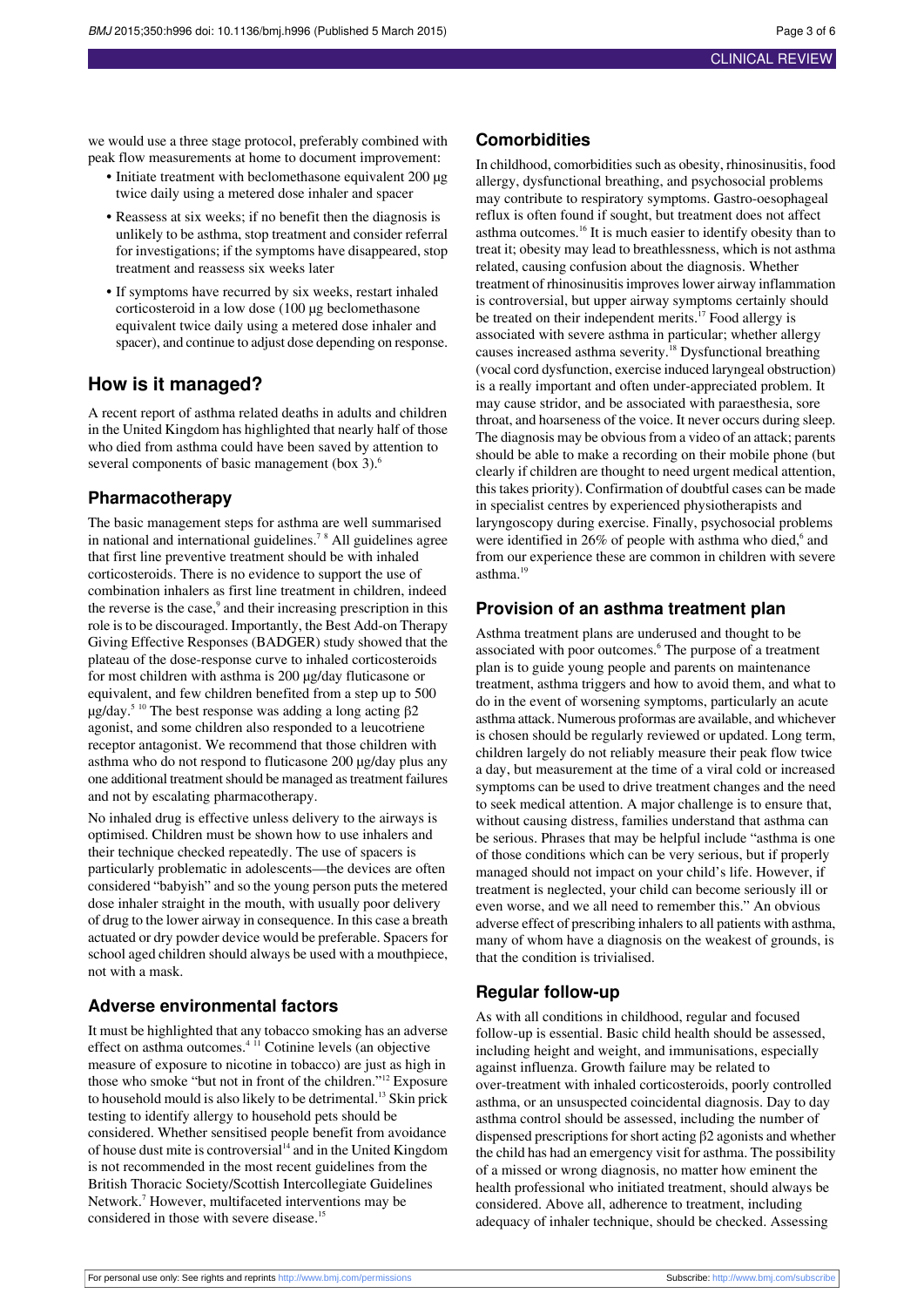we would use a three stage protocol, preferably combined with peak flow measurements at home to document improvement:

- **•** Initiate treatment with beclomethasone equivalent 200 µg twice daily using a metered dose inhaler and spacer
- **•** Reassess at six weeks; if no benefit then the diagnosis is unlikely to be asthma, stop treatment and consider referral for investigations; if the symptoms have disappeared, stop treatment and reassess six weeks later
- **•** If symptoms have recurred by six weeks, restart inhaled corticosteroid in a low dose (100 µg beclomethasone equivalent twice daily using a metered dose inhaler and spacer), and continue to adjust dose depending on response.

## **How is it managed?**

A recent report of asthma related deaths in adults and children in the United Kingdom has highlighted that nearly half of those who died from asthma could have been saved by attention to several components of basic management (box 3).<sup>6</sup>

#### **Pharmacotherapy**

The basic management steps for asthma are well summarised in national and international guidelines.<sup>7</sup> <sup>8</sup> All guidelines agree that first line preventive treatment should be with inhaled corticosteroids. There is no evidence to support the use of combination inhalers as first line treatment in children, indeed the reverse is the case,<sup>9</sup> and their increasing prescription in this role isto be discouraged. Importantly, the Best Add-on Therapy Giving Effective Responses (BADGER) study showed that the plateau of the dose-response curve to inhaled corticosteroids for most children with asthma is 200 µg/day fluticasone or equivalent, and few children benefited from a step up to 500  $\mu$ g/day.<sup>5 10</sup> The best response was adding a long acting β2 agonist, and some children also responded to a leucotriene receptor antagonist. We recommend that those children with asthma who do not respond to fluticasone 200 µg/day plus any one additional treatment should be managed as treatment failures and not by escalating pharmacotherapy.

No inhaled drug is effective unless delivery to the airways is optimised. Children must be shown how to use inhalers and their technique checked repeatedly. The use of spacers is particularly problematic in adolescents—the devices are often considered "babyish" and so the young person puts the metered dose inhaler straight in the mouth, with usually poor delivery of drug to the lower airway in consequence. In this case a breath actuated or dry powder device would be preferable. Spacers for school aged children should always be used with a mouthpiece, not with a mask.

## **Adverse environmental factors**

It must be highlighted that any tobacco smoking has an adverse effect on asthma outcomes.<sup>4</sup> <sup>11</sup> Cotinine levels (an objective measure of exposure to nicotine in tobacco) are just as high in those who smoke "but not in front of the children."<sup>12</sup> Exposure to household mould is also likely to be detrimental.<sup>13</sup> Skin prick testing to identify allergy to household pets should be considered. Whether sensitised people benefit from avoidance of house dust mite is controversial $14$  and in the United Kingdom is not recommended in the most recent guidelines from the British Thoracic Society/Scottish Intercollegiate Guidelines Network.<sup>7</sup> However, multifaceted interventions may be considered in those with severe disease.<sup>15</sup>

#### **Comorbidities**

In childhood, comorbidities such as obesity, rhinosinusitis, food allergy, dysfunctional breathing, and psychosocial problems may contribute to respiratory symptoms. Gastro-oesophageal reflux is often found if sought, but treatment does not affect asthma outcomes.<sup>16</sup> It is much easier to identify obesity than to treat it; obesity may lead to breathlessness, which is not asthma related, causing confusion about the diagnosis. Whether treatment of rhinosinusitisimproveslower airway inflammation is controversial, but upper airway symptoms certainly should be treated on their independent merits.<sup>17</sup> Food allergy is associated with severe asthma in particular; whether allergy causes increased asthma severity.<sup>18</sup> Dysfunctional breathing (vocal cord dysfunction, exercise induced laryngeal obstruction) is a really important and often under-appreciated problem. It may cause stridor, and be associated with paraesthesia, sore throat, and hoarseness of the voice. It never occurs during sleep. The diagnosis may be obvious from a video of an attack; parents should be able to make a recording on their mobile phone (but clearly if children are thought to need urgent medical attention, this takes priority). Confirmation of doubtful cases can be made in specialist centres by experienced physiotherapists and laryngoscopy during exercise. Finally, psychosocial problems were identified in  $26\%$  of people with asthma who died, $6$  and from our experience these are common in children with severe asthma.<sup>19</sup>

#### **Provision of an asthma treatment plan**

Asthma treatment plans are underused and thought to be associated with poor outcomes.<sup>6</sup> The purpose of a treatment plan is to guide young people and parents on maintenance treatment, asthma triggers and how to avoid them, and what to do in the event of worsening symptoms, particularly an acute asthma attack. Numerous proformas are available, and whichever is chosen should be regularly reviewed or updated. Long term, children largely do not reliably measure their peak flow twice a day, but measurement at the time of a viral cold or increased symptoms can be used to drive treatment changes and the need to seek medical attention. A major challenge is to ensure that, without causing distress, families understand that asthma can be serious. Phrases that may be helpful include "asthma is one of those conditions which can be very serious, but if properly managed should not impact on your child's life. However, if treatment is neglected, your child can become seriously ill or even worse, and we all need to remember this." An obvious adverse effect of prescribing inhalers to all patients with asthma, many of whom have a diagnosis on the weakest of grounds, is that the condition is trivialised.

## **Regular follow-up**

As with all conditions in childhood, regular and focused follow-up is essential. Basic child health should be assessed, including height and weight, and immunisations, especially against influenza. Growth failure may be related to over-treatment with inhaled corticosteroids, poorly controlled asthma, or an unsuspected coincidental diagnosis. Day to day asthma control should be assessed, including the number of dispensed prescriptions for short acting  $\beta$ 2 agonists and whether the child has had an emergency visit for asthma. The possibility of a missed or wrong diagnosis, no matter how eminent the health professional who initiated treatment, should always be considered. Above all, adherence to treatment, including adequacy of inhaler technique, should be checked. Assessing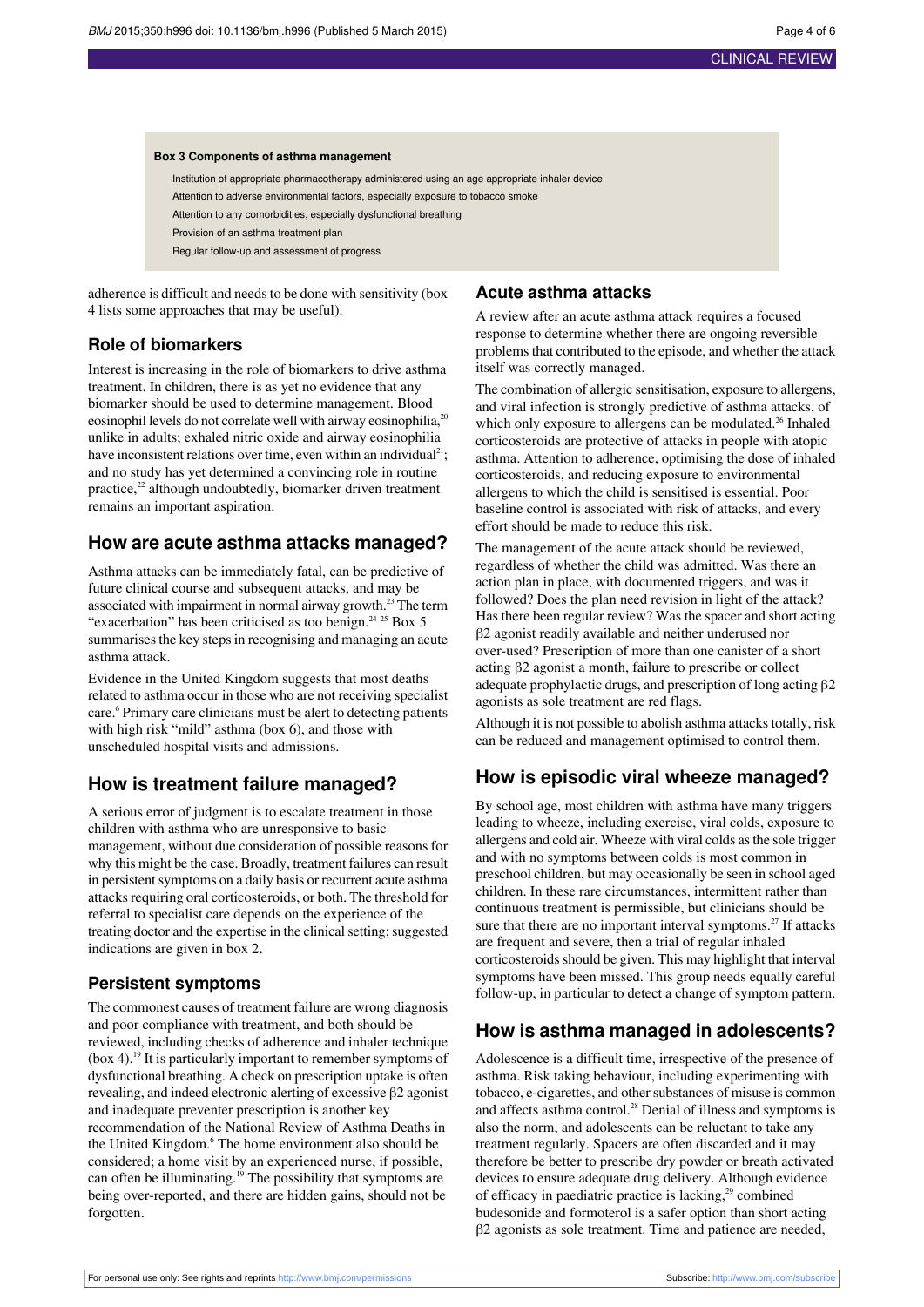#### **Box 3 Components of asthma management**

Institution of appropriate pharmacotherapy administered using an age appropriate inhaler device Attention to adverse environmental factors, especially exposure to tobacco smoke Attention to any comorbidities, especially dysfunctional breathing Provision of an asthma treatment plan Regular follow-up and assessment of progress

adherence is difficult and needs to be done with sensitivity (box 4 lists some approaches that may be useful).

## **Role of biomarkers**

Interest is increasing in the role of biomarkers to drive asthma treatment. In children, there is as yet no evidence that any biomarker should be used to determine management. Blood eosinophil levels do not correlate well with airway eosinophilia,<sup>20</sup> unlike in adults; exhaled nitric oxide and airway eosinophilia have inconsistent relations over time, even within an individual<sup>21</sup>; and no study has yet determined a convincing role in routine practice,<sup>22</sup> although undoubtedly, biomarker driven treatment remains an important aspiration.

## **How are acute asthma attacks managed?**

Asthma attacks can be immediately fatal, can be predictive of future clinical course and subsequent attacks, and may be associated with impairment in normal airway growth. $^{23}$  The term "exacerbation" has been criticised as too benign.<sup>24 25</sup> Box 5 summarises the key steps in recognising and managing an acute asthma attack.

Evidence in the United Kingdom suggests that most deaths related to asthma occur in those who are not receiving specialist care.<sup>6</sup> Primary care clinicians must be alert to detecting patients with high risk "mild" asthma (box 6), and those with unscheduled hospital visits and admissions.

## **How is treatment failure managed?**

A serious error of judgment is to escalate treatment in those children with asthma who are unresponsive to basic management, without due consideration of possible reasons for why this might be the case. Broadly, treatment failures can result in persistent symptoms on a daily basis or recurrent acute asthma attacks requiring oral corticosteroids, or both. The threshold for referral to specialist care depends on the experience of the treating doctor and the expertise in the clinical setting; suggested indications are given in box 2.

#### **Persistent symptoms**

The commonest causes of treatment failure are wrong diagnosis and poor compliance with treatment, and both should be reviewed, including checks of adherence and inhaler technique  $(box 4)$ .<sup>19</sup> It is particularly important to remember symptoms of dysfunctional breathing. A check on prescription uptake is often revealing, and indeed electronic alerting of excessive β2 agonist and inadequate preventer prescription is another key recommendation of the National Review of Asthma Deaths in the United Kingdom.<sup>6</sup> The home environment also should be considered; a home visit by an experienced nurse, if possible, can often be illuminating.<sup>19</sup> The possibility that symptoms are being over-reported, and there are hidden gains, should not be forgotten.

#### **Acute asthma attacks**

A review after an acute asthma attack requires a focused response to determine whether there are ongoing reversible problems that contributed to the episode, and whether the attack itself was correctly managed.

The combination of allergic sensitisation, exposure to allergens, and viral infection is strongly predictive of asthma attacks, of which only exposure to allergens can be modulated. $^{26}$  Inhaled corticosteroids are protective of attacks in people with atopic asthma. Attention to adherence, optimising the dose of inhaled corticosteroids, and reducing exposure to environmental allergens to which the child is sensitised is essential. Poor baseline control is associated with risk of attacks, and every effort should be made to reduce this risk.

The management of the acute attack should be reviewed, regardless of whether the child was admitted. Was there an action plan in place, with documented triggers, and was it followed? Does the plan need revision in light of the attack? Has there been regular review? Was the spacer and short acting β2 agonist readily available and neither underused nor over-used? Prescription of more than one canister of a short acting β2 agonist a month, failure to prescribe or collect adequate prophylactic drugs, and prescription of long acting β2 agonists as sole treatment are red flags.

Although it is not possible to abolish asthma attacks totally, risk can be reduced and management optimised to control them.

## **How is episodic viral wheeze managed?**

By school age, most children with asthma have many triggers leading to wheeze, including exercise, viral colds, exposure to allergens and cold air. Wheeze with viral colds asthe sole trigger and with no symptoms between colds is most common in preschool children, but may occasionally be seen in school aged children. In these rare circumstances, intermittent rather than continuous treatment is permissible, but clinicians should be sure that there are no important interval symptoms.<sup>27</sup> If attacks are frequent and severe, then a trial of regular inhaled corticosteroids should be given. This may highlight that interval symptoms have been missed. This group needs equally careful follow-up, in particular to detect a change of symptom pattern.

## **How is asthma managed in adolescents?**

Adolescence is a difficult time, irrespective of the presence of asthma. Risk taking behaviour, including experimenting with tobacco, e-cigarettes, and other substances of misuse is common and affects asthma control. $^{28}$  Denial of illness and symptoms is also the norm, and adolescents can be reluctant to take any treatment regularly. Spacers are often discarded and it may therefore be better to prescribe dry powder or breath activated devices to ensure adequate drug delivery. Although evidence of efficacy in paediatric practice is lacking,<sup>29</sup> combined budesonide and formoterol is a safer option than short acting β2 agonists as sole treatment. Time and patience are needed,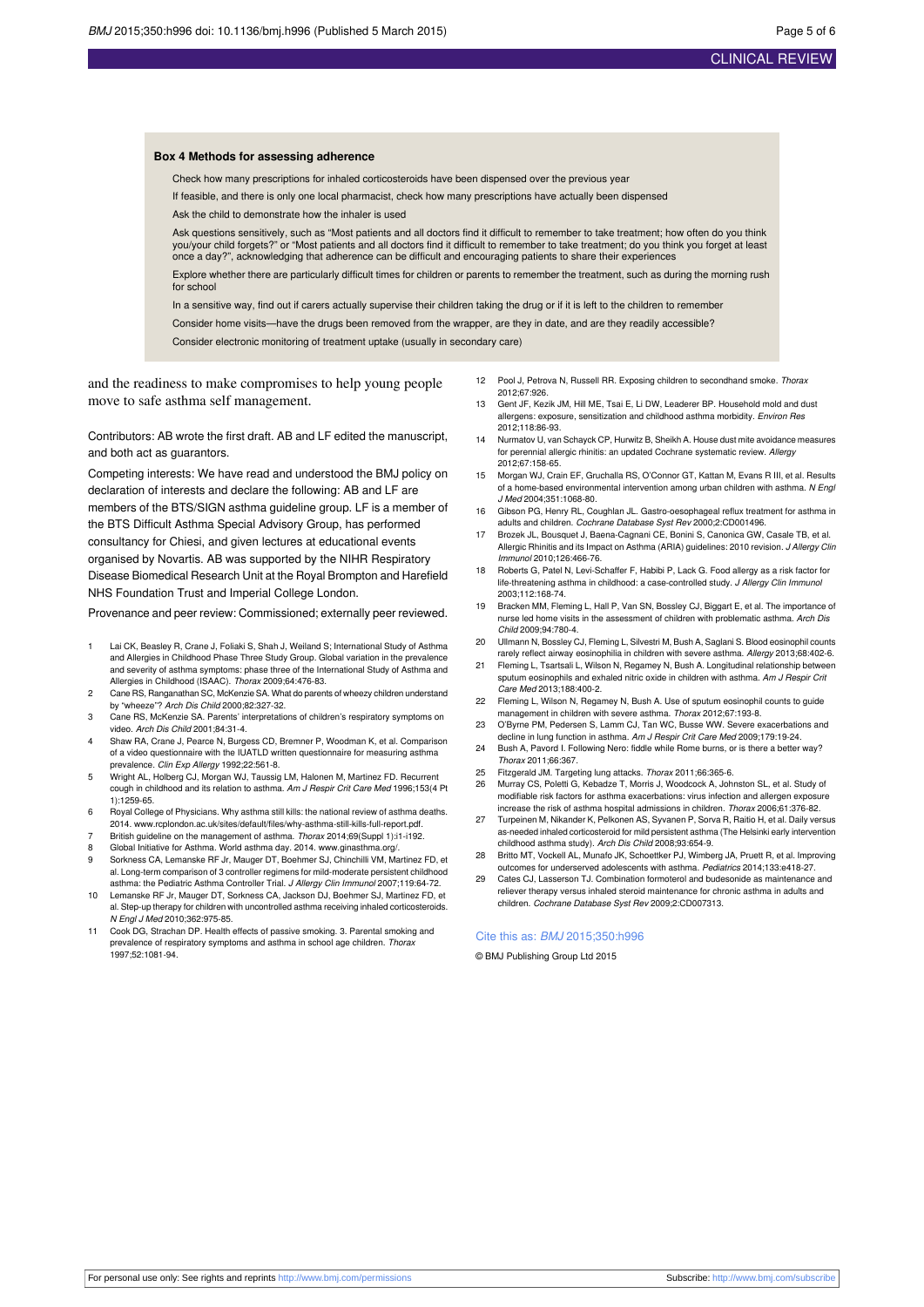#### **Box 4 Methods for assessing adherence**

Check how many prescriptions for inhaled corticosteroids have been dispensed over the previous year

- If feasible, and there is only one local pharmacist, check how many prescriptions have actually been dispensed
- Ask the child to demonstrate how the inhaler is used

Ask questions sensitively, such as "Most patients and all doctors find it difficult to remember to take treatment; how often do you think you/your child forgets?" or "Most patients and all doctors find it difficult to remember to take treatment; do you think you forget at least<br>once a day?", acknowledging that adherence can be difficult and encouraging patie

Explore whether there are particularly difficult times for children or parents to remember the treatment, such as during the morning rush for school

- In a sensitive way, find out if carers actually supervise their children taking the drug or if it is left to the children to remember
- Consider home visits—have the drugs been removed from the wrapper, are they in date, and are they readily accessible?

Consider electronic monitoring of treatment uptake (usually in secondary care)

and the readiness to make compromises to help young people move to safe asthma self management.

Contributors: AB wrote the first draft. AB and LF edited the manuscript, and both act as guarantors.

Competing interests: We have read and understood the BMJ policy on declaration of interests and declare the following: AB and LF are members of the BTS/SIGN asthma guideline group. LF is a member of the BTS Difficult Asthma Special Advisory Group, has performed consultancy for Chiesi, and given lectures at educational events organised by Novartis. AB was supported by the NIHR Respiratory Disease Biomedical Research Unit at the Royal Brompton and Harefield NHS Foundation Trust and Imperial College London.

Provenance and peer review: Commissioned; externally peer reviewed.

- 1 Lai CK, Beasley R, Crane J, Foliaki S, Shah J, Weiland S; International Study of Asthma and Allergies in Childhood Phase Three Study Group. Global variation in the prevalence and severity of asthma symptoms: phase three of the International Study of Asthma and Allergies in Childhood (ISAAC). Thorax 2009;64:476-83.
- 2 Cane RS, Ranganathan SC, McKenzie SA. What do parents of wheezy children understand by "wheeze"? Arch Dis Child 2000;82:327-32.
- 3 Cane RS, McKenzie SA. Parents' interpretations of children's respiratory symptoms on video. Arch Dis Child 2001;84:31-4.
- Shaw RA, Crane J, Pearce N, Burgess CD, Bremner P, Woodman K, et al. Comparison of a video questionnaire with the IUATLD written questionnaire for measuring asthma prevalence. Clin Exp Allergy 1992;22:561-8.
- 5 Wright AL, Holberg CJ, Morgan WJ, Taussig LM, Halonen M, Martinez FD. Recurrent cough in childhood and its relation to asthma. Am J Respir Crit Care Med 1996;153(4 Pt  $11.1259 - 65.$
- 6 Royal College of Physicians. Why asthma still kills: the national review of asthma deaths. 2014. [www.rcplondon.ac.uk/sites/default/files/why-asthma-still-kills-full-report.pdf](http://www.rcplondon.ac.uk/sites/default/files/why-asthma-still-kills-full-report.pdf).
- British guideline on the management of asthma. Thorax 2014;69(Suppl 1):i1-i192.
- Global Initiative for Asthma. World asthma day. 2014. www.ginasthma.org
- 9 Sorkness CA, Lemanske RF Jr, Mauger DT, Boehmer SJ, Chinchilli VM, Martinez FD, et al. Long-term comparison of 3 controller regimens for mild-moderate persistent childhood asthma: the Pediatric Asthma Controller Trial. J Allergy Clin Immunol 2007;119:64-72.
- 10 Lemanske RF Jr, Mauger DT, Sorkness CA, Jackson DJ, Boehmer SJ, Martinez FD, et al. Step-up therapy for children with uncontrolled asthma receiving inhaled corticosteroids. N Engl J Med 2010;362:975-85.
- 11 Cook DG, Strachan DP. Health effects of passive smoking. 3. Parental smoking and prevalence of respiratory symptoms and asthma in school age children. Thorax 1997;52:1081-94.
- 12 Pool J, Petrova N, Russell RR, Exposing children to secondhand smoke. Thorax 2012;67:926.
- 13 Gent JF, Kezik JM, Hill ME, Tsai E, Li DW, Leaderer BP. Household mold and dust allergens: exposure, sensitization and childhood asthma morbidity. Environ Res 2012;118:86-93.
- Nurmatov U, van Schayck CP, Hurwitz B, Sheikh A. House dust mite avoidance measures for perennial allergic rhinitis: an updated Cochrane systematic review. Allergy 2012;67:158-65.
- 15 Morgan WJ, Crain EF, Gruchalla RS, O'Connor GT, Kattan M, Evans R III, et al. Results of a home-based environmental intervention among urban children with asthma. N Engl J Med 2004;351:1068-80.
- 16 Gibson PG, Henry RL, Coughlan JL. Gastro-oesophageal reflux treatment for asthma in adults and children. Cochrane Database Syst Rev 2000;2:CD001496.
- 17 Brozek JL, Bousquet J, Baena-Cagnani CE, Bonini S, Canonica GW, Casale TB, et al. Allergic Rhinitis and its Impact on Asthma (ARIA) guidelines: 2010 revision. J Allergy Clin Immunol 2010;126:466-76.
- 18 Roberts G, Patel N, Levi-Schaffer F, Habibi P, Lack G. Food allergy as a risk factor for life-threatening asthma in childhood: a case-controlled study. J Allergy Clin Immunol 2003;112:168-74.
- 19 Bracken MM, Fleming L, Hall P, Van SN, Bossley CJ, Biggart E, et al. The importance of nurse led home visits in the assessment of children with problematic asthma. Arch Dis Child 2009;94:780-4.
- 20 Ullmann N, Bossley CJ, Fleming L, Silvestri M, Bush A, Saglani S. Blood eosinophil counts rarely reflect airway eosinophilia in children with severe asthma. Allergy 2013;68:402-6.
- 21 Fleming L, Tsartsali L, Wilson N, Regamey N, Bush A. Longitudinal relationship between sputum eosinophils and exhaled nitric oxide in children with asthma. Am J Respir Crit Care Med 2013;188:400-2.
- 22 Fleming L, Wilson N, Regamey N, Bush A. Use of sputum eosinophil counts to guide management in children with severe asthma. Thorax 2012;67:193-8.
- 23 O'Byrne PM, Pedersen S, Lamm CJ, Tan WC, Busse WW. Severe exacerbations and decline in lung function in asthma. Am J Respir Crit Care Med 2009;179:19-24.
- 24 Bush A, Pavord I. Following Nero: fiddle while Rome burns, or is there a better way? Thorax 2011;66:367.
- 25 Fitzgerald JM. Targeting lung attacks. Thorax 2011;66:365-6.
- 26 Murray CS, Poletti G, Kebadze T, Morris J, Woodcock A, Johnston SL, et al. Study of modifiable risk factors for asthma exacerbations: virus infection and allergen expo increase the risk of asthma hospital admissions in children. Thorax 2006;61:376-82.
- 27 Turpeinen M, Nikander K, Pelkonen AS, Syvanen P, Sorva R, Raitio H, et al. Daily versus as-needed inhaled corticosteroid for mild persistent asthma (The Helsinki early intervention childhood asthma study). Arch Dis Child 2008;93:654-9.
- 28 Britto MT, Vockell AL, Munafo JK, Schoettker PJ, Wimberg JA, Pruett R, et al. Improving outcomes for underserved adolescents with asthma. Pediatrics 2014;133:e418-27.
- 29 Cates CJ, Lasserson TJ. Combination formoterol and budesonide as maintenance and reliever therapy versus inhaled steroid maintenance for chronic asthma in adults and children. Cochrane Database Syst Rev 2009;2:CD007313.

#### Cite this as: BMJ 2015;350:h996

© BMJ Publishing Group Ltd 2015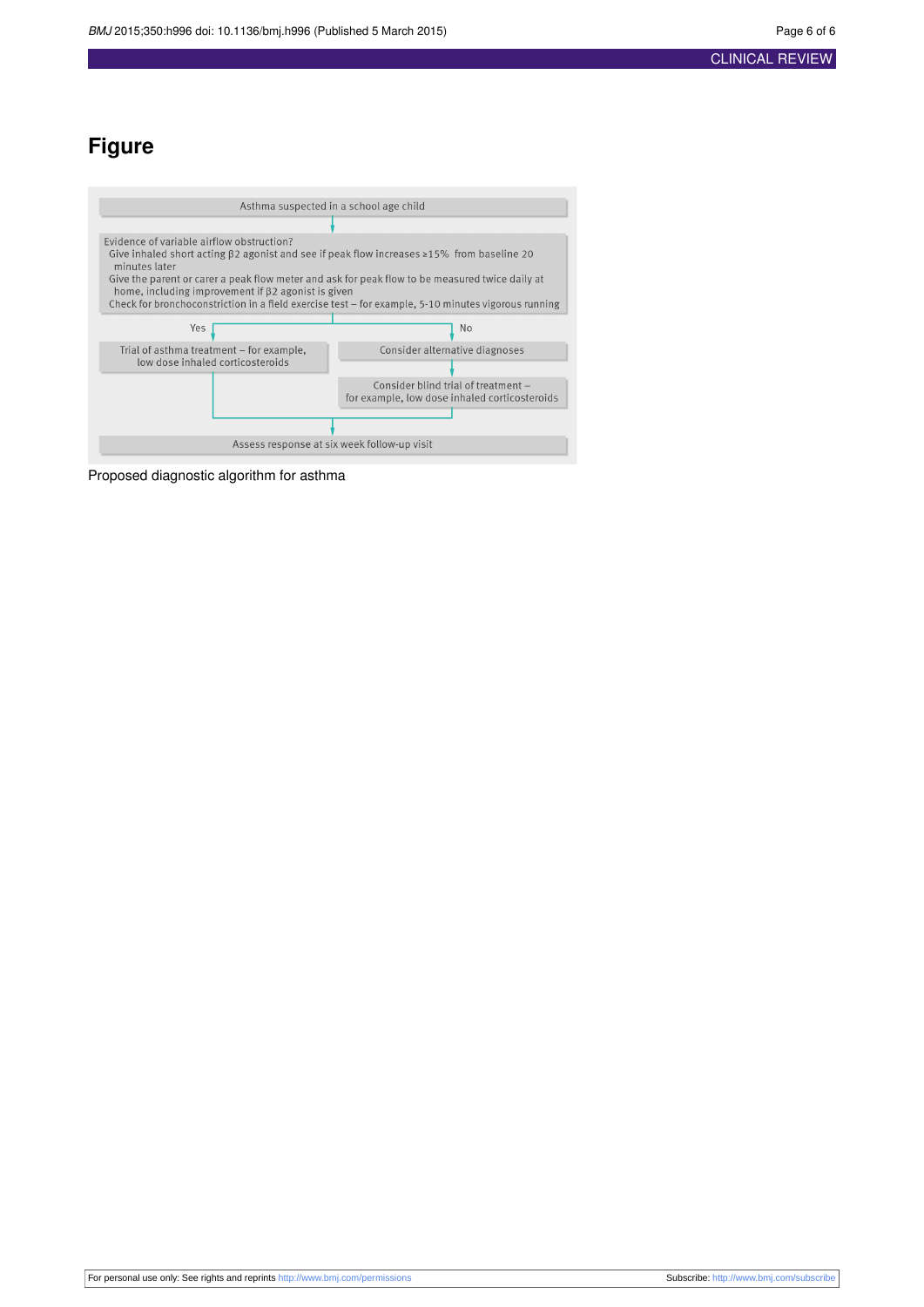## **Figure**

<span id="page-5-0"></span>

Proposed diagnostic algorithm for asthma